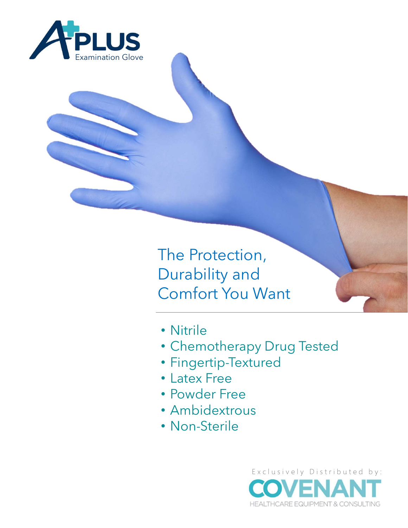

The Protection, Durability and Comfort You Want

- Nitrile
- Chemotherapy Drug Tested
- Fingertip-Textured
- Latex Free
- Powder Free
- Ambidextrous
- Non-Sterile